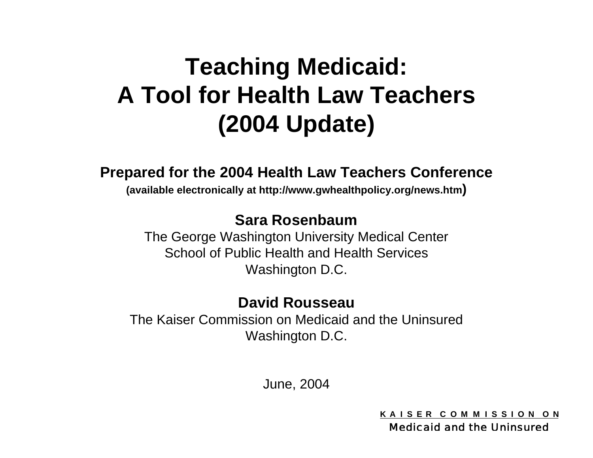# **Teaching Medicaid: A Tool for Health Law Teachers (2004 Update)**

### **Prepared for the 2004 Health Law Teachers Conference**

**(available electronically at http://www.gwhealthpolicy.org/news.htm)**

### **Sara Rosenbaum**

The George Washington University Medical Center School of Public Health and Health Services Washington D.C.

### **David Rousseau**

The Kaiser Commission on Medicaid and the Uninsured Washington D.C.

June, 2004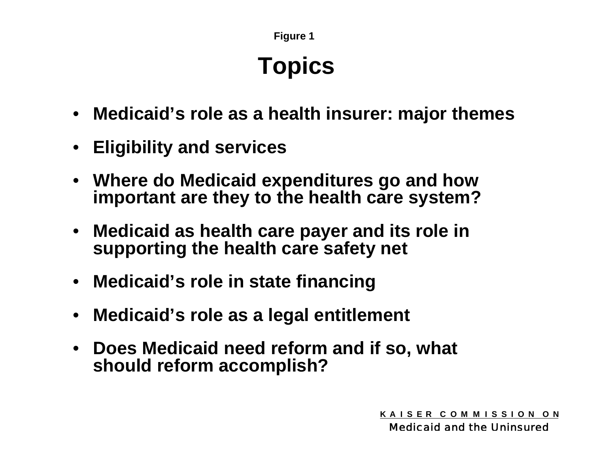# **Topics**

- **Medicaid's role as a health insurer: major themes**
- **Eligibility and services**
- **Where do Medicaid expenditures go and how important are they to the health care system?**
- **Medicaid as health care payer and its role in supporting the health care safety net**
- **Medicaid's role in state financing**
- •**Medicaid's role as a legal entitlement**
- $\bullet$  **Does Medicaid need reform and if so, what should reform accomplish?**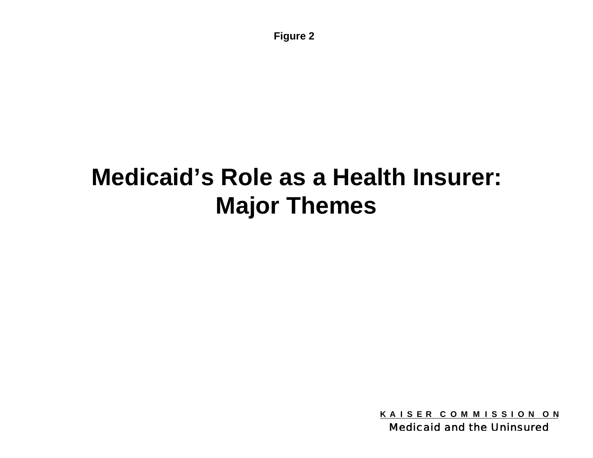# **Medicaid's Role as a Health Insurer: Major Themes**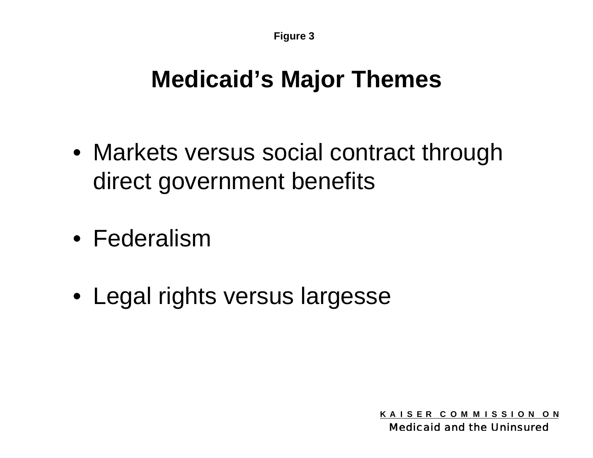### **Medicaid's Major Themes**

- Markets versus social contract through direct government benefits
- Federalism
- Legal rights versus largesse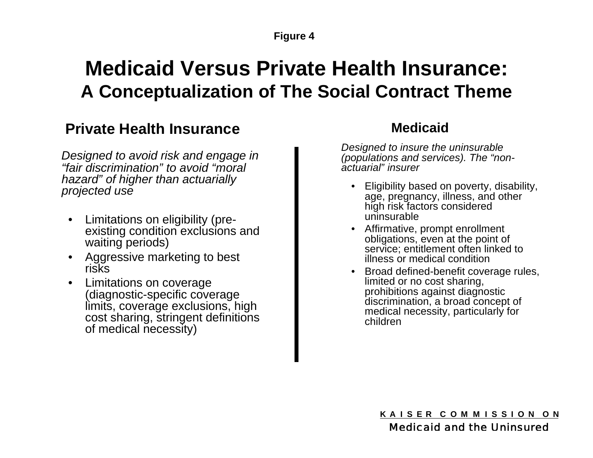### **Medicaid Versus Private Health Insurance: A Conceptualization of The Social Contract Theme**

### **Private Health Insurance**

*Designed to avoid risk and engage in "fair discrimination" to avoid "moral hazard" of higher than actuarially projected use*

- $\bullet$  Limitations on eligibility (preexisting condition exclusions and waiting periods)
- • Aggressive marketing to best risks
- • Limitations on coverage (diagnostic-specific coverage limits, coverage exclusions, high cost sharing, stringent definitions of medical necessity)

### **Medicaid**

*Designed to insure the uninsurable (populations and services). The "nonactuarial" insurer*

- Eligibility based on poverty, disability, age, pregnancy, illness, and other high risk factors considered uninsurable
- Affirmative, prompt enrollment obligations, even at the point of service; entitlement often linked to illness or medical condition
- Broad defined-benefit coverage rules, limited or no cost sharing, prohibitions against diagnostic discrimination, a broad concept of medical necessity, particularly for children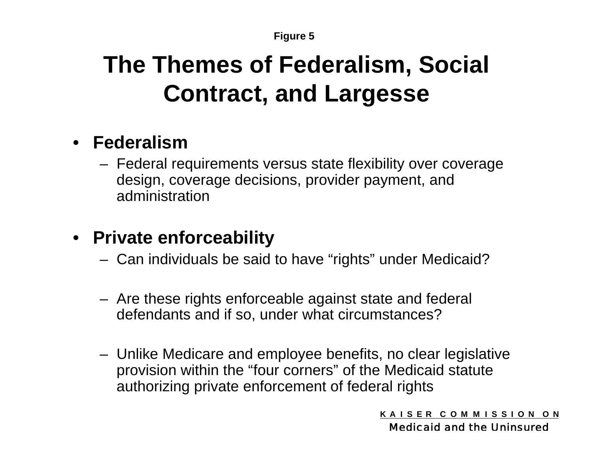# **The Themes of Federalism, Social Contract, and Largesse**

### • **Federalism**

 Federal requirements versus state flexibility over coverage design, coverage decisions, provider payment, and administration

### • **Private enforceability**

- Can individuals be said to have "rights" under Medicaid?
- Are these rights enforceable against state and federal defendants and if so, under what circumstances?
- Unlike Medicare and employee benefits, no clear legislative provision within the "four corners" of the Medicaid statute authorizing private enforcement of federal rights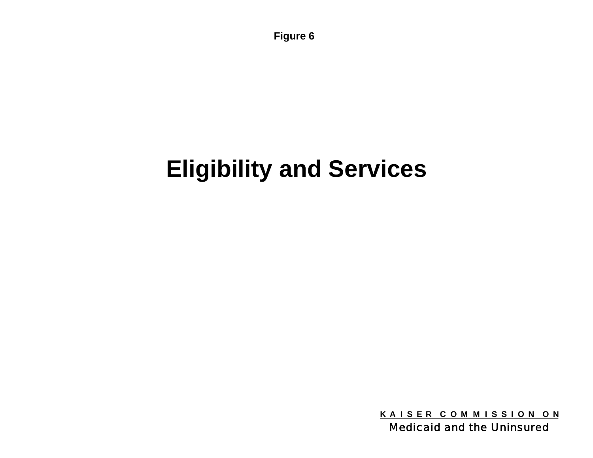# **Eligibility and Services**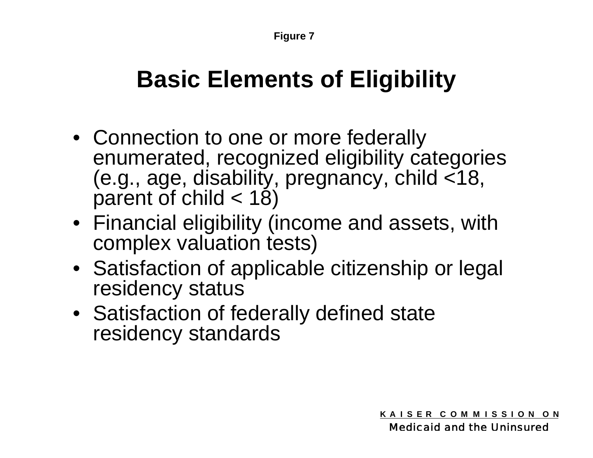## **Basic Elements of Eligibility**

- Connection to one or more federally enumerated, recognized eligibility categories (e.g., age, disability, pregnancy, child <18, parent of child  $<$  18)
- Financial eligibility (income and assets, with complex valuation tests)
- Satisfaction of applicable citizenship or legal residency status
- Satisfaction of federally defined state residency standards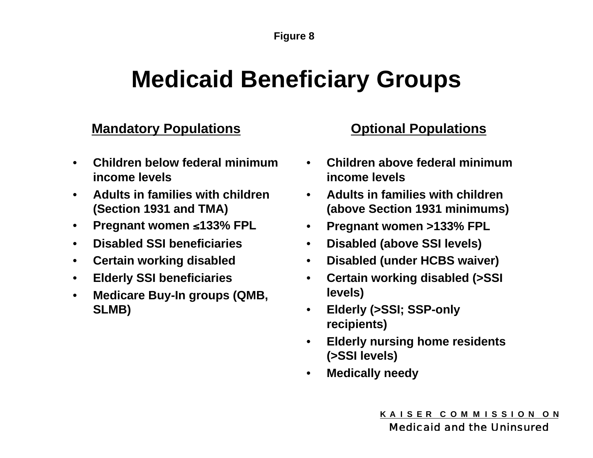## **Medicaid Beneficiary Groups**

### **Mandatory Populations Consultions Optional Populations**

- $\bullet$  **Children below federal minimum income levels**
- **Adults in families with children (Section 1931 and TMA)**
- **Pregnant women 133% FPL**
- •**Disabled SSI beneficiaries**
- •**Certain working disabled**
- •**Elderly SSI beneficiaries**
- $\bullet$  **Medicare Buy-In groups (QMB, SLMB)**

- **Children above federal minimum income levels**
- **Adults in families with children (above Section 1931 minimums)**
- **Pregnant women >133% FPL**
- **Disabled (above SSI levels)**
- •**Disabled (under HCBS waiver)**
- $\bullet$  **Certain working disabled (>SSI levels)**
- $\bullet$  **Elderly (>SSI; SSP-only recipients)**
- **Elderly nursing home residents (>SSI levels)**
- $\bullet$ **Medically needy**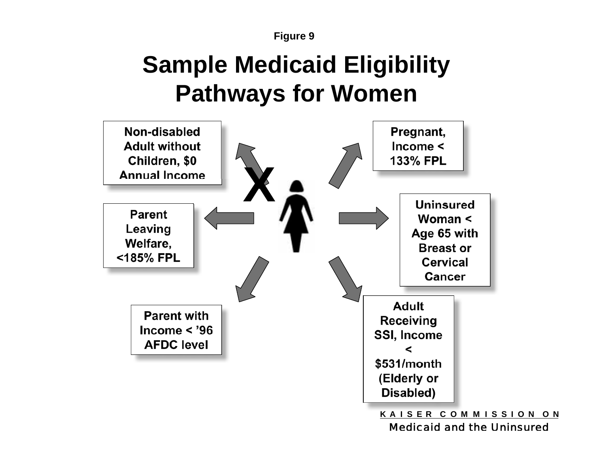

# **Sample Medicaid Eligibility Pathways for Women**



Medicaid and the Uninsured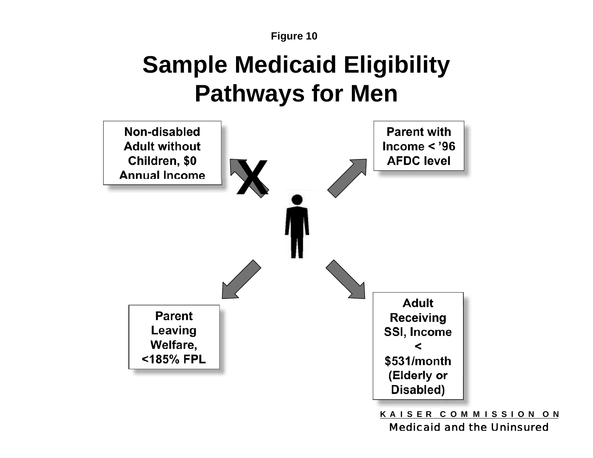# **Sample Medicaid Eligibility Pathways for Men**

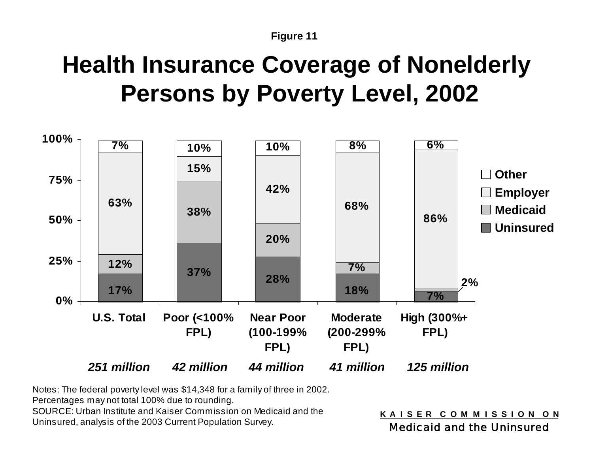# **Health Insurance Coverage of Nonelderly Persons by Poverty Level, 2002**



Notes: The federal poverty level was \$14,348 for a family of three in 2002.

Percentages may not total 100% due to rounding.

SOURCE: Urban Institute and Kaiser Commission on Medicaid and the Uninsured, analysis of the 2003 Current Population Survey.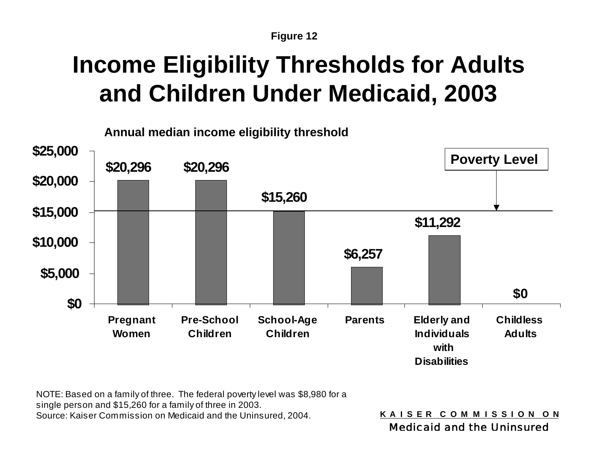# **Income Eligibility Thresholds for Adults and Children Under Medicaid, 2003**



NOTE: Based on a family of three. The federal poverty level was \$8,980 for a single person and \$15,260 for a family of three in 2003. Source: Kaiser Commission on Medicaid and the Uninsured, 2004.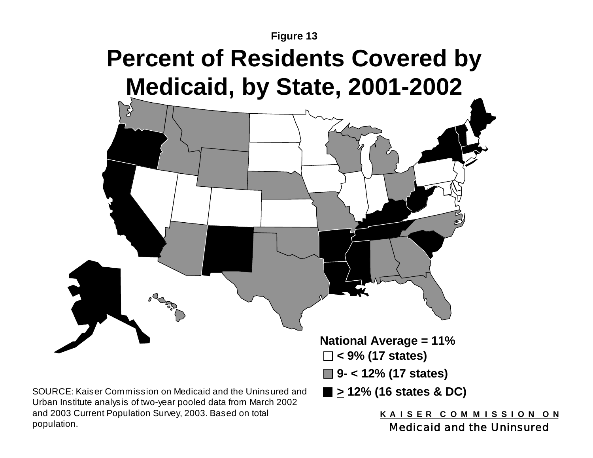# **Percent of Residents Covered by Medicaid, by State, 2001-2002**



population.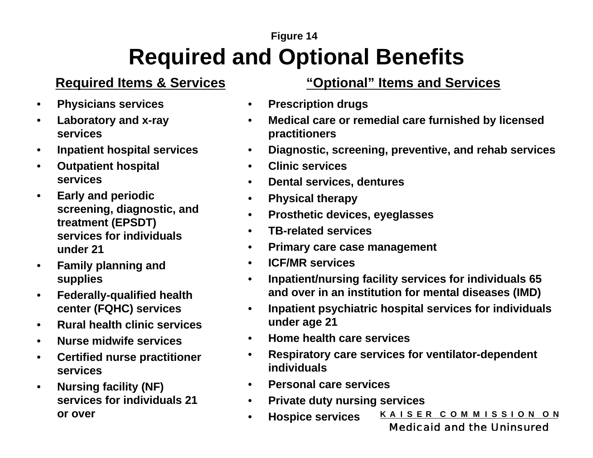### **Figure 14 Required and Optional Benefits**

- •**Physicians services**
- $\bullet$  **Laboratory and x-ray services**
- •**Inpatient hospital services**
- • **Outpatient hospital services**
- • **Early and periodic screening, diagnostic, and treatment (EPSDT) services for individuals under 21**
- $\bullet$  **Family planning and supplies**
- • **Federally-qualified health center (FQHC) services**
- $\bullet$ **Rural health clinic services**
- •**Nurse midwife services**
- • **Certified nurse practitioner services**
- $\bullet$  **Nursing facility (NF) services for individuals 21 or over**

### **Required Items & Services "Optional" Items and Services**

- •**Prescription drugs**
- $\bullet$  **Medical care or remedial care furnished by licensed practitioners**
- $\bullet$ **Diagnostic, screening, preventive, and rehab services**
- •**Clinic services**
- $\bullet$ **Dental services, dentures**
- $\bullet$ **Physical therapy**
- $\bullet$ **Prosthetic devices, eyeglasses**
- $\bullet$ **TB-related services**
- $\bullet$ **Primary care case management**
- $\bullet$ **ICF/MR services**
- $\bullet$  **Inpatient/nursing facility services for individuals 65 and over in an institution for mental diseases (IMD)**
- $\bullet$  **Inpatient psychiatric hospital services for individuals under age 21**
- •**Home health care services**
- $\bullet$  **Respiratory care services for ventilator-dependent individuals**
- •**Personal care services**

 $\bullet$ 

- $\bullet$  **Private duty nursing services**
	- **K A I S E R C O M M I S S I O N O N Hospice services**

Medicaid and the Uninsured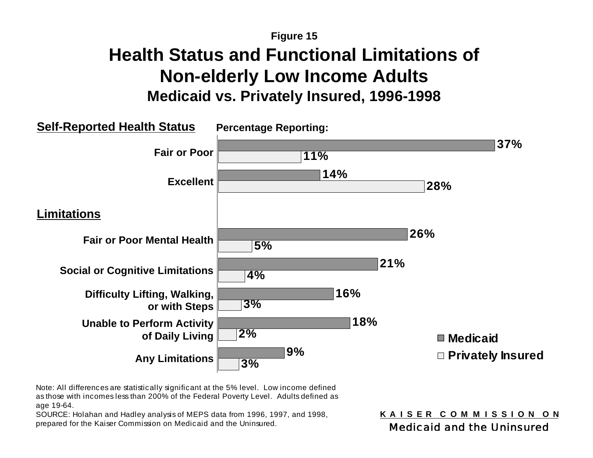### **Health Status and Functional Limitations of Non-elderly Low Income Adults Medicaid vs. Privately Insured, 1996-1998**



Note: All differences are statistically significant at the 5% level. Low income defined as those with incomes less than 200% of the Federal Poverty Level. Adults defined as age 19-64.

SOURCE: Holahan and Hadley analysis of MEPS data from 1996, 1997, and 1998, prepared for the Kaiser Commission on Medicaid and the Uninsured.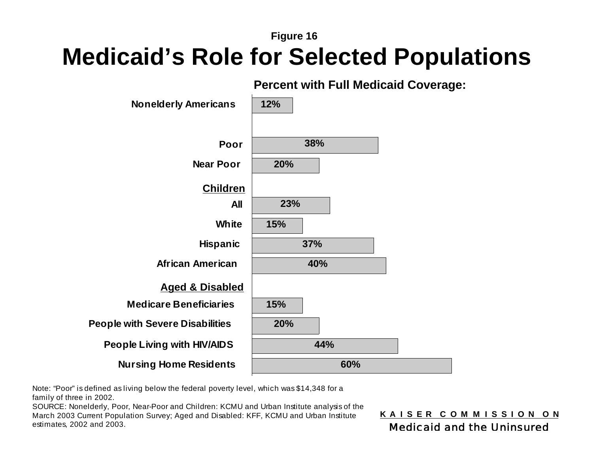### **Medicaid's Role for Selected Populations**



**Percent with Full Medicaid Coverage:**

Note: "Poor" is defined as living below the federal poverty level, which was \$14,348 for a family of three in 2002.

SOURCE: Nonelderly, Poor, Near-Poor and Children: KCMU and Urban Institute analysis of the March 2003 Current Population Survey; Aged and Disabled: KFF, KCMU and Urban Institute estimates, 2002 and 2003.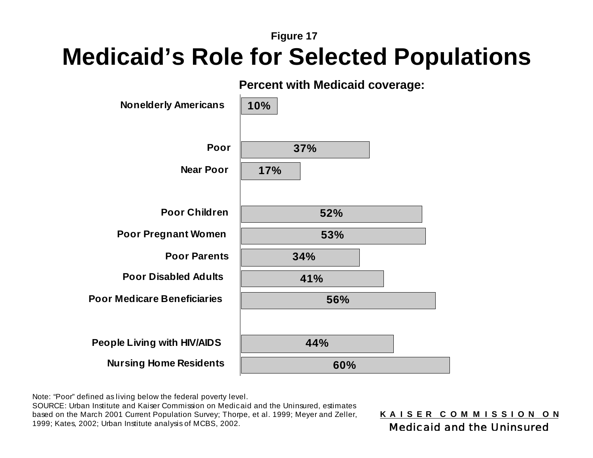### **Medicaid's Role for Selected Populations**



Note: "Poor" defined as living below the federal poverty level.

SOURCE: Urban Institute and Kaiser Commission on Medicaid and the Uninsured, estimates based on the March 2001 Current Population Survey; Thorpe, et al. 1999; Meyer and Zeller, 1999; Kates, 2002; Urban Institute analysis of MCBS, 2002.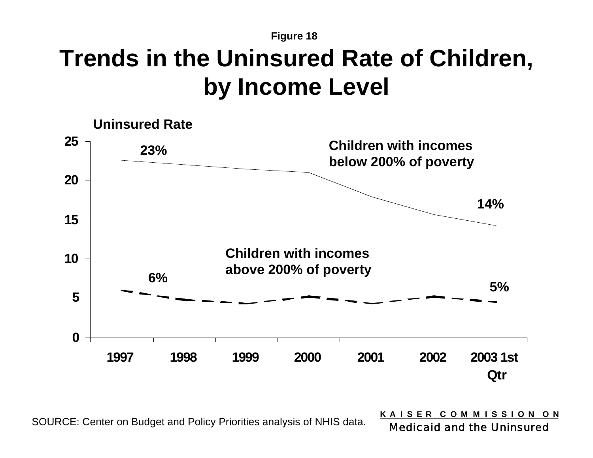### **Figure 18 Trends in the Uninsured Rate of Children, by Income Level**



SOURCE: Center on Budget and Policy Priorities analysis of NHIS data.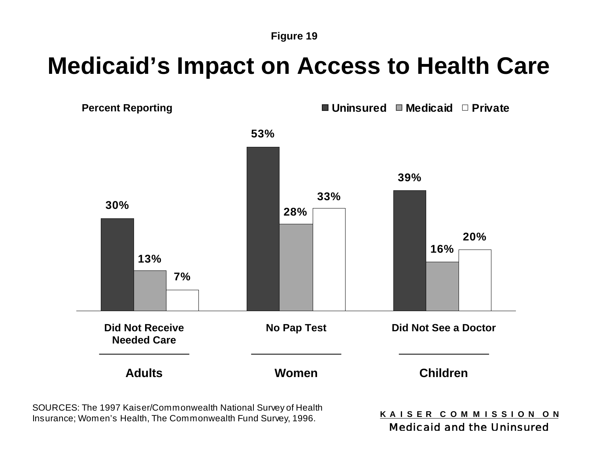## **Medicaid's Impact on Access to Health Care**

**Percent Reporting The Private ■ Uninsured ■ Medicaid** ■ Private



SOURCES: The 1997 Kaiser/Commonwealth National Survey of Health Insurance; Women's Health, The Commonwealth Fund Survey, 1996.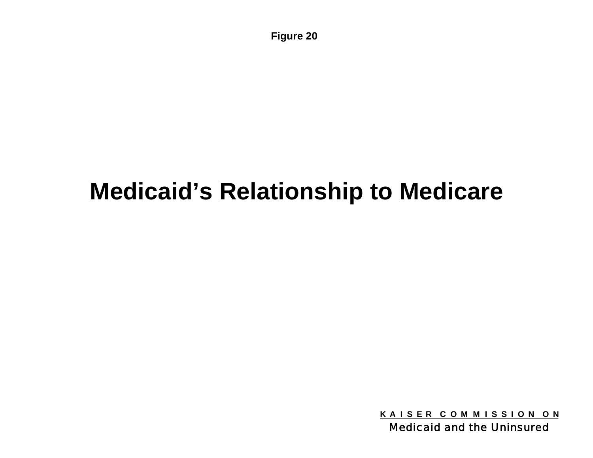## **Medicaid's Relationship to Medicare**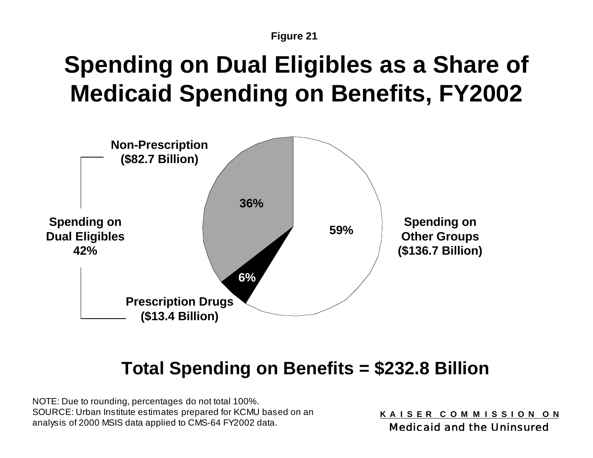# **Spending on Dual Eligibles as a Share of Medicaid Spending on Benefits, FY2002**



### **Total Spending on Benefits = \$232.8 Billion**

NOTE: Due to rounding, percentages do not total 100%. SOURCE: Urban Institute estimates prepared for KCMU based on an analysis of 2000 MSIS data applied to CMS-64 FY2002 data.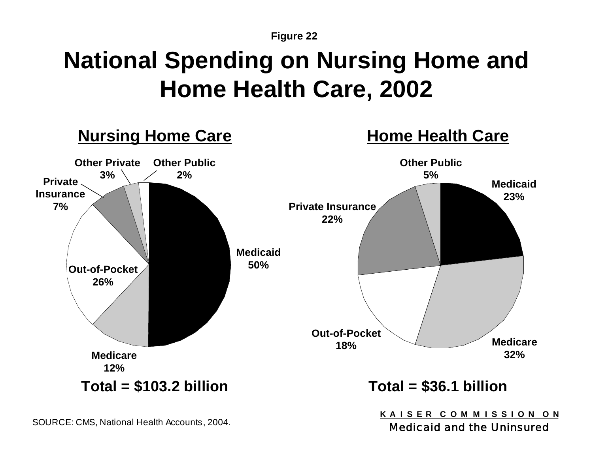# **National Spending on Nursing Home and Home Health Care, 2002**



SOURCE: CMS, National Health Accounts, 2004.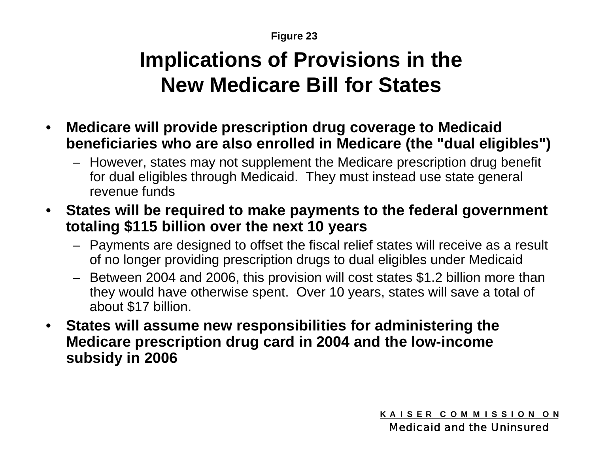### **Implications of Provisions in the New Medicare Bill for States**

- $\bullet$  **Medicare will provide prescription drug coverage to Medicaid beneficiaries who are also enrolled in Medicare (the "dual eligibles")**
	- However, states may not supplement the Medicare prescription drug benefit for dual eligibles through Medicaid. They must instead use state general revenue funds
- • **States will be required to make payments to the federal government totaling \$115 billion over the next 10 years**
	- Payments are designed to offset the fiscal relief states will receive as a result of no longer providing prescription drugs to dual eligibles under Medicaid
	- – Between 2004 and 2006, this provision will cost states \$1.2 billion more than they would have otherwise spent. Over 10 years, states will save a total of about \$17 billion.
- $\bullet$  **States will assume new responsibilities for administering the Medicare prescription drug card in 2004 and the low-income subsidy in 2006**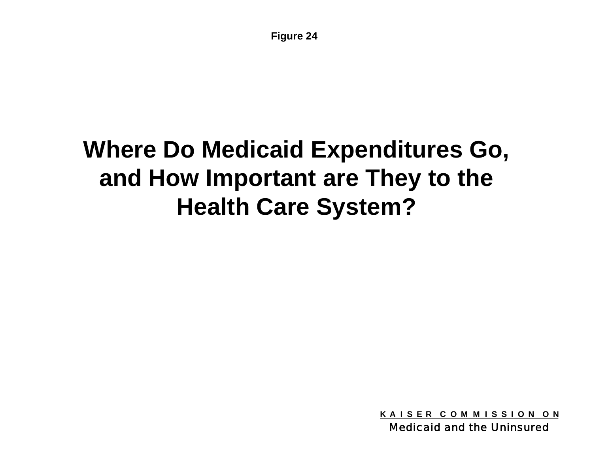# **Where Do Medicaid Expenditures Go, and How Important are They to the Health Care System?**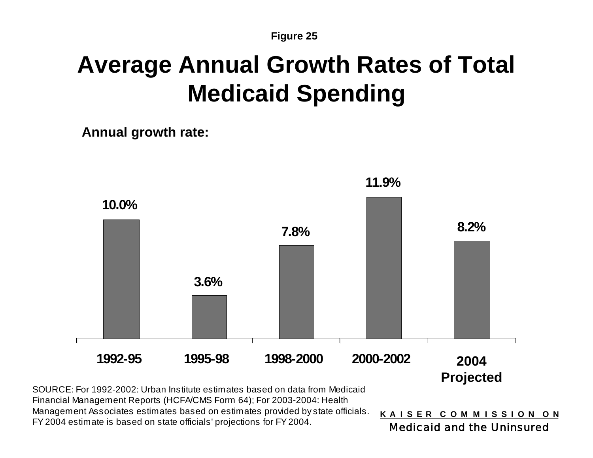## **Average Annual Growth Rates of Total Medicaid Spending**

**Annual growth rate:**



SOURCE: For 1992-2002: Urban Institute estimates based on data from Medicaid Financial Management Reports (HCFA/CMS Form 64); For 2003-2004: Health Management Associates estimates based on estimates provided by state officials. FY 2004 estimate is based on state officials' projections for FY 2004.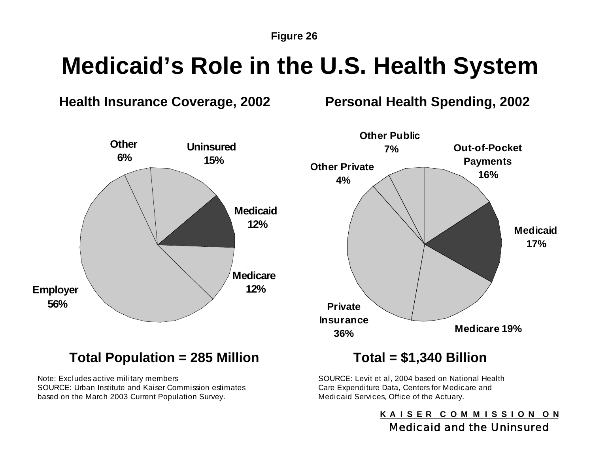# **Medicaid's Role in the U.S. Health System**

### **Health Insurance Coverage, 2002**

**Personal Health Spending, 2002**



Note: Excludes active military members SOURCE: Urban Institute and Kaiser Commission estimates based on the March 2003 Current Population Survey.

SOURCE: Levit et al, 2004 based on National Health Care Expenditure Data, Centers for Medicare and Medicaid Services, Office of the Actuary.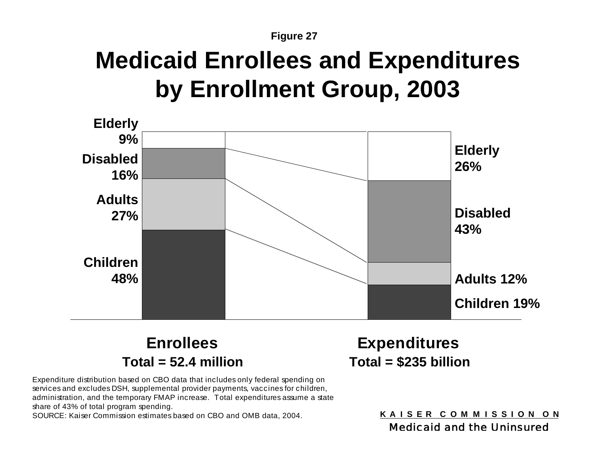## **Medicaid Enrollees and Expenditures by Enrollment Group, 2003**



**Enrollees Expenditures Total = 52.4 million Total = \$235 billion**

Expenditure distribution based on CBO data that includes only federal spending on services and excludes DSH, supplemental provider payments, vaccines for children, administration, and the temporary FMAP increase. Total expenditures assume a state share of 43% of total program spending.

SOURCE: Kaiser Commission estimates based on CBO and OMB data, 2004.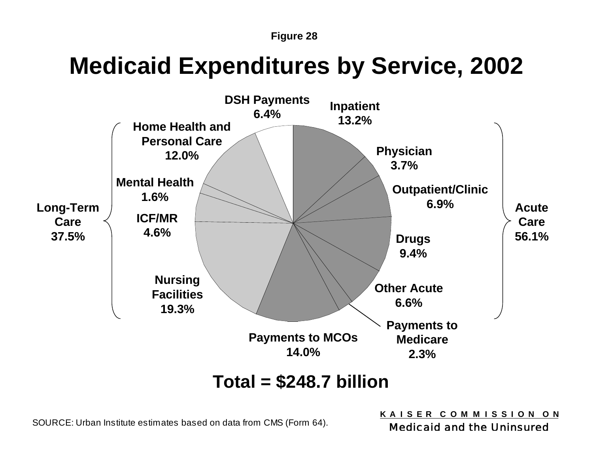## **Medicaid Expenditures by Service, 2002**



**Total = \$248.7 billion**

SOURCE: Urban Institute estimates based on data from CMS (Form 64).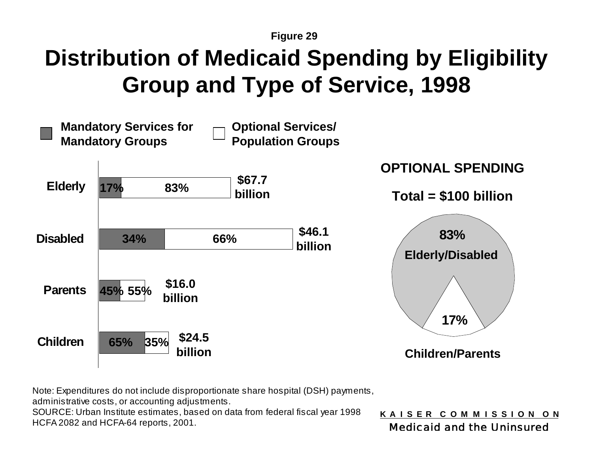## **Distribution of Medicaid Spending by Eligibility Group and Type of Service, 1998**



Note: Expenditures do not include disproportionate share hospital (DSH) payments,

administrative costs, or accounting adjustments.

SOURCE: Urban Institute estimates, based on data from federal fiscal year 1998 HCFA 2082 and HCFA-64 reports, 2001.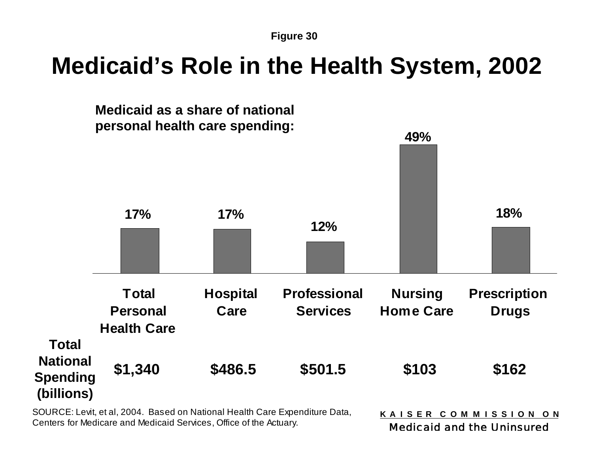## **Medicaid's Role in the Health System, 2002**



SOURCE: Levit, et al, 2004. Based on National Health Care Expenditure Data, Centers for Medicare and Medicaid Services, Office of the Actuary.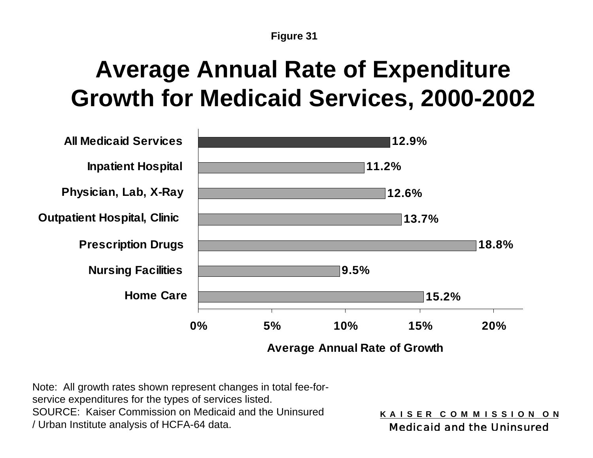# **Average Annual Rate of Expenditure Growth for Medicaid Services, 2000-2002**



Note: All growth rates shown represent changes in total fee-forservice expenditures for the types of services listed. SOURCE: Kaiser Commission on Medicaid and the Uninsured / Urban Institute analysis of HCFA-64 data.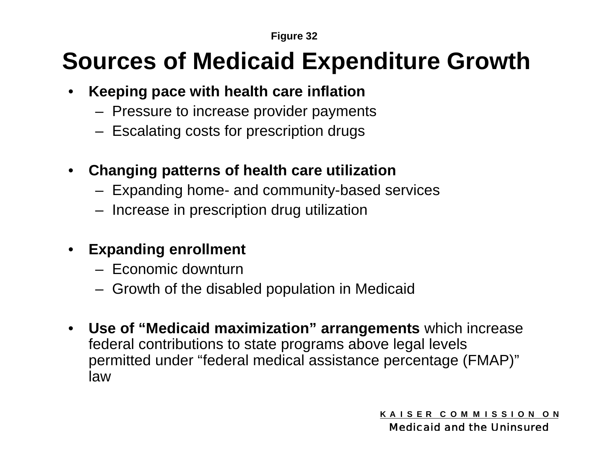# **Sources of Medicaid Expenditure Growth**

- $\bullet$  **Keeping pace with health care inflation**
	- Pressure to increase provider payments
	- Escalating costs for prescription drugs
- **Changing patterns of health care utilization**
	- Expanding home- and community-based services
	- Increase in prescription drug utilization
- **Expanding enrollment**
	- Economic downturn
	- Growth of the disabled population in Medicaid
- **Use of "Medicaid maximization" arrangements** which increase federal contributions to state programs above legal levels permitted under "federal medical assistance percentage (FMAP)" law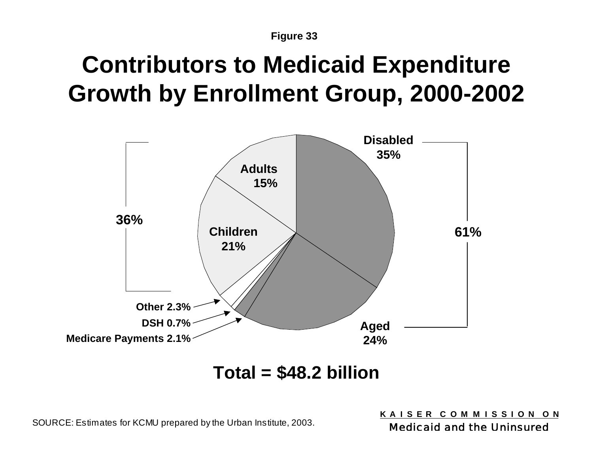# **Contributors to Medicaid Expenditure Growth by Enrollment Group, 2000-2002**



### **Total = \$48.2 billion**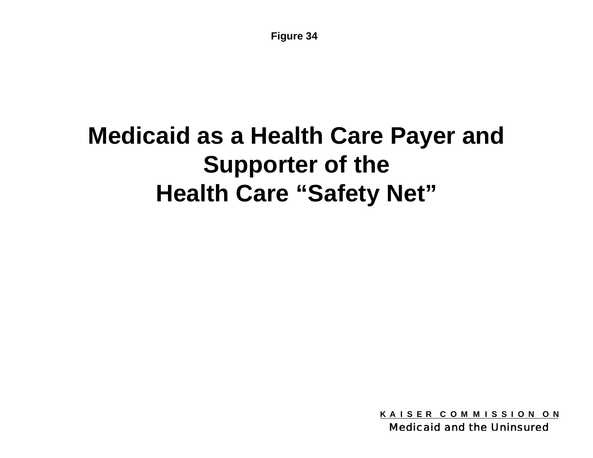# **Medicaid as a Health Care Payer and Supporter of the Health Care "Safety Net"**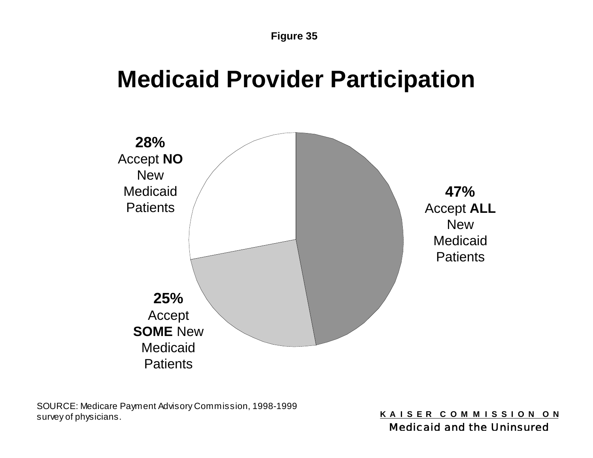### **Medicaid Provider Participation**



SOURCE: Medicare Payment Advisory Commission, 1998-1999 survey of physicians.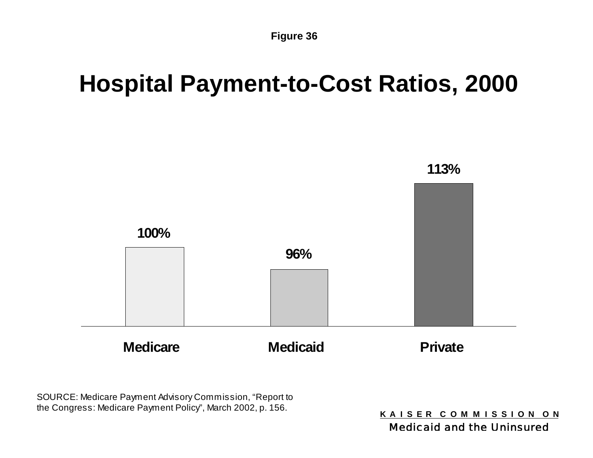### **Hospital Payment-to-Cost Ratios, 2000**



SOURCE: Medicare Payment Advisory Commission, "Report to the Congress: Medicare Payment Policy", March 2002, p. 156.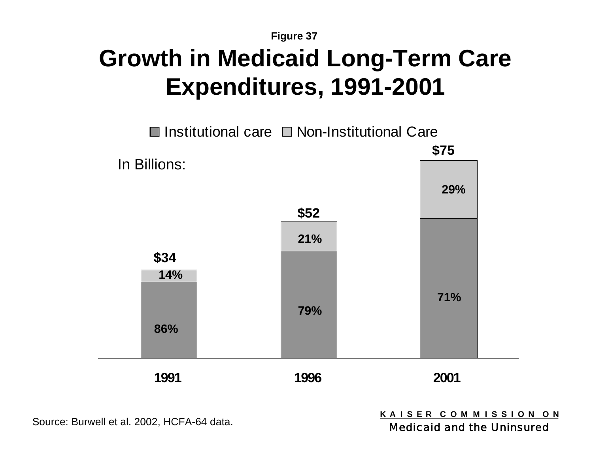### **Figure 37 Growth in Medicaid Long-Term Care Expenditures, 1991-2001**



Source: Burwell et al. 2002, HCFA-64 data.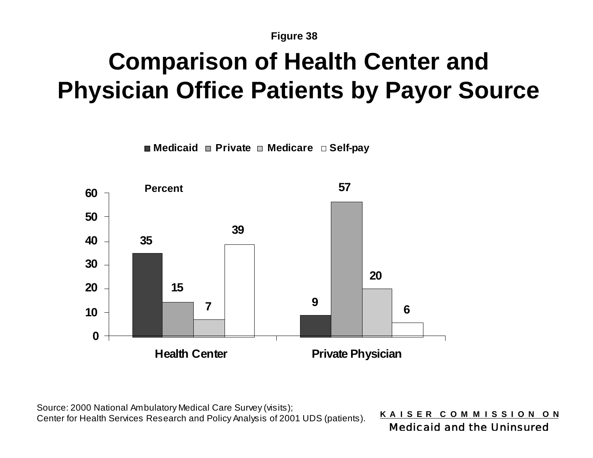# **Comparison of Health Center and Physician Office Patients by Payor Source**

**Medicaid Private Medicare Self-pay**



Source: 2000 National Ambulatory Medical Care Survey (visits); Center for Health Services Research and Policy Analysis of 2001 UDS (patients).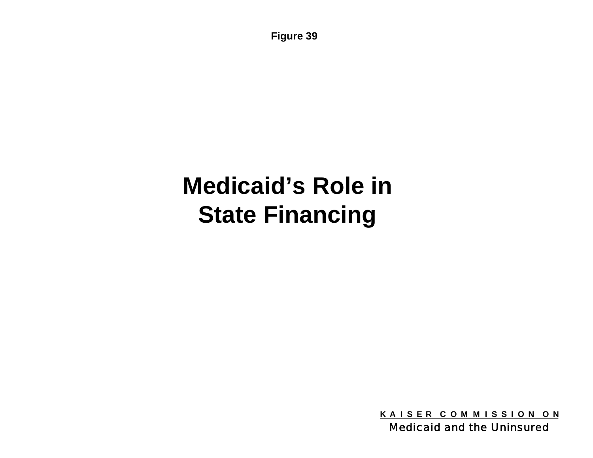# **Medicaid's Role in State Financing**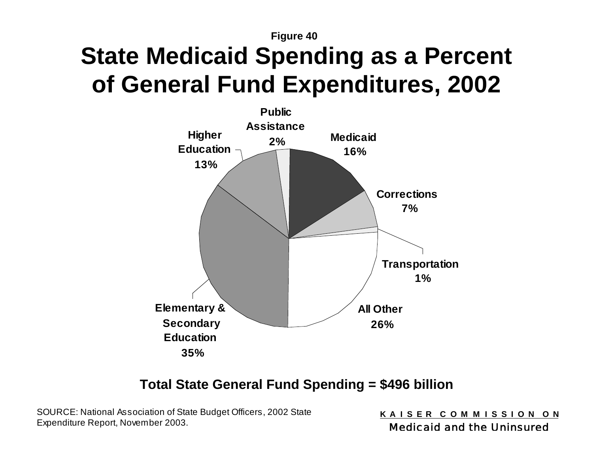# **State Medicaid Spending as a Percent of General Fund Expenditures, 2002**



### **Total State General Fund Spending = \$496 billion**

SOURCE: National Association of State Budget Officers, 2002 State Expenditure Report, November 2003.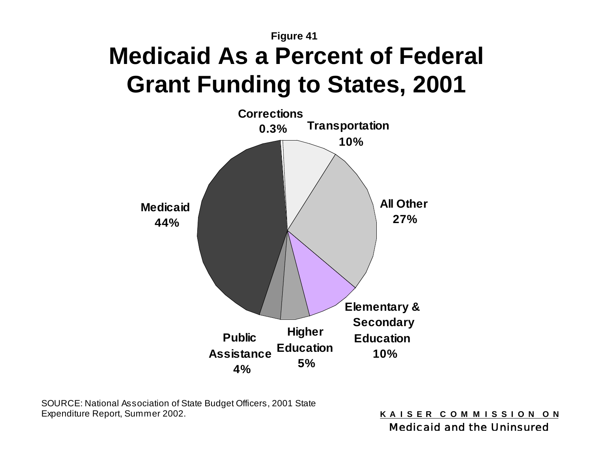**Figure 41 Medicaid As a Percent of Federal Grant Funding to States, 2001**



SOURCE: National Association of State Budget Officers, 2001 State Expenditure Report, Summer 2002.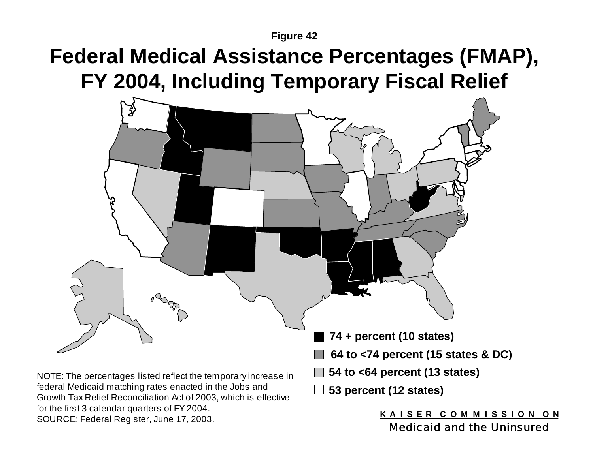### **Federal Medical Assistance Percentages (FMAP), FY 2004, Including Temporary Fiscal Relief**



SOURCE: Federal Register, June 17, 2003.

Medicaid and the Uninsured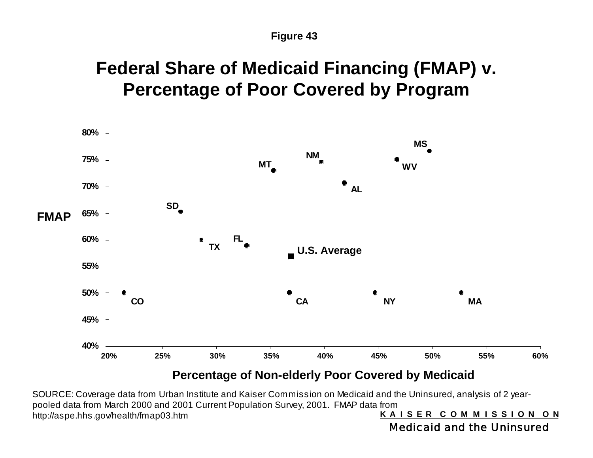### **Federal Share of Medicaid Financing (FMAP) v. Percentage of Poor Covered by Program**



### **Percentage of Non-elderly Poor Covered by Medicaid**

**K A I S E R C O M M I S S I O N O N** SOURCE: Coverage data from Urban Institute and Kaiser Commission on Medicaid and the Uninsured, analysis of 2 yearpooled data from March 2000 and 2001 Current Population Survey, 2001. FMAP data from http://aspe.hhs.gov/health/fmap03.htm

Medicaid and the Uninsured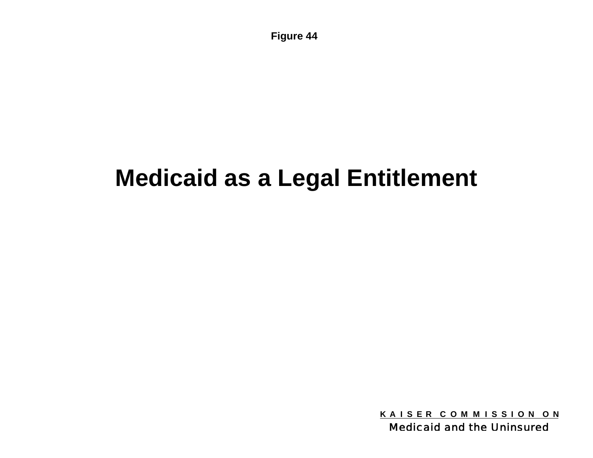## **Medicaid as a Legal Entitlement**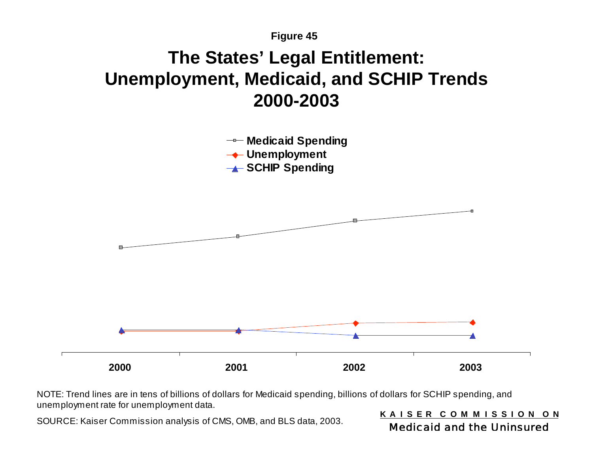### **The States' Legal Entitlement: Unemployment, Medicaid, and SCHIP Trends 2000-2003**



NOTE: Trend lines are in tens of billions of dollars for Medicaid spending, billions of dollars for SCHIP spending, and unemployment rate for unemployment data.

SOURCE: Kaiser Commission analysis of CMS, OMB, and BLS data, 2003.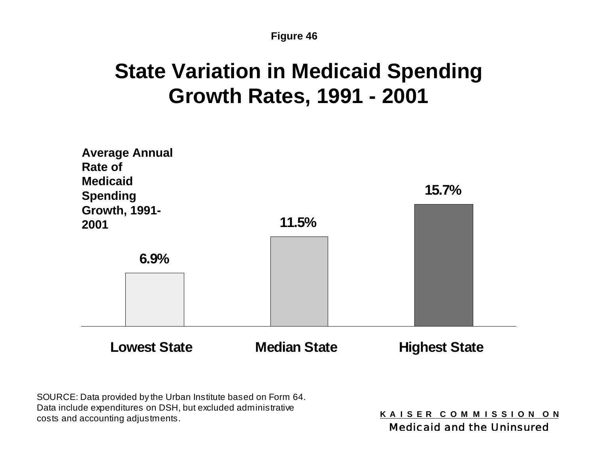### **State Variation in Medicaid Spending Growth Rates, 1991 - 2001**



SOURCE: Data provided by the Urban Institute based on Form 64. Data include expenditures on DSH, but excluded administrative costs and accounting adjustments.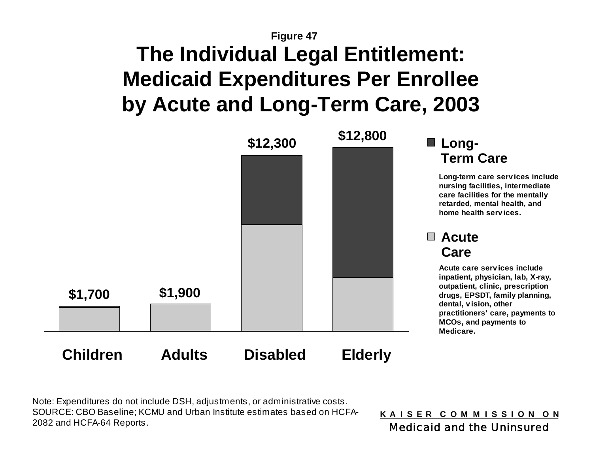### **Figure 47 The Individual Legal Entitlement: Medicaid Expenditures Per Enrollee by Acute and Long-Term Care, 2003**



Note: Expenditures do not include DSH, adjustments, or administrative costs. SOURCE: CBO Baseline; KCMU and Urban Institute estimates based on HCFA-2082 and HCFA-64 Reports.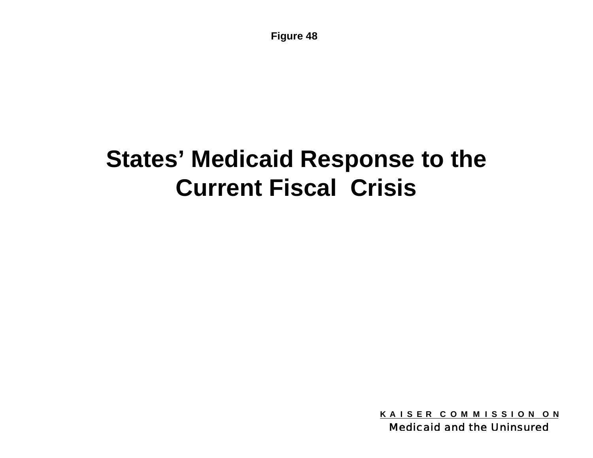# **States' Medicaid Response to the Current Fiscal Crisis**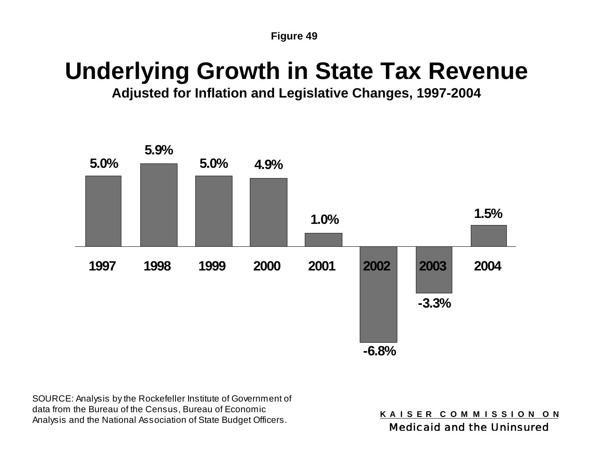### **Underlying Growth in State Tax Revenue**

**Adjusted for Inflation and Legislative Changes, 1997-2004**



SOURCE: Analysis by the Rockefeller Institute of Government of data from the Bureau of the Census, Bureau of Economic Analysis and the National Association of State Budget Officers.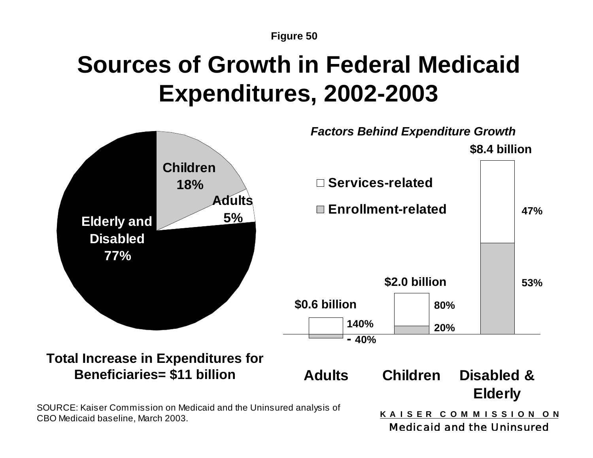# **Sources of Growth in Federal Medicaid Expenditures, 2002-2003**

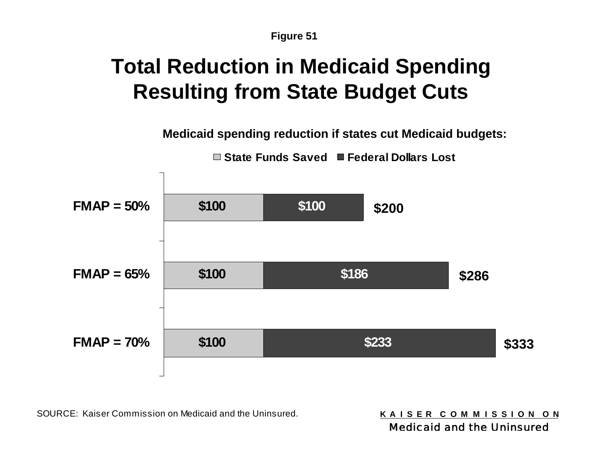### **Total Reduction in Medicaid Spending Resulting from State Budget Cuts**

**Medicaid spending reduction if states cut Medicaid budgets:**

**State Funds Saved Federal Dollars Lost**



SOURCE: Kaiser Commission on Medicaid and the Uninsured.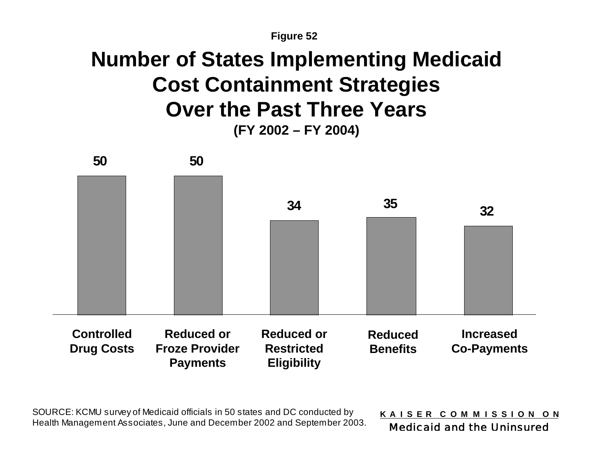### **Number of States Implementing Medicaid Cost Containment Strategies Over the Past Three Years (FY 2002 – FY 2004)**



SOURCE: KCMU survey of Medicaid officials in 50 states and DC conducted by Health Management Associates, June and December 2002 and September 2003.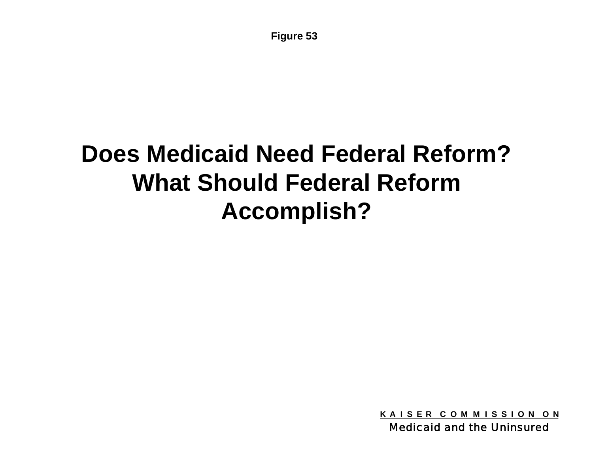# **Does Medicaid Need Federal Reform? What Should Federal Reform Accomplish?**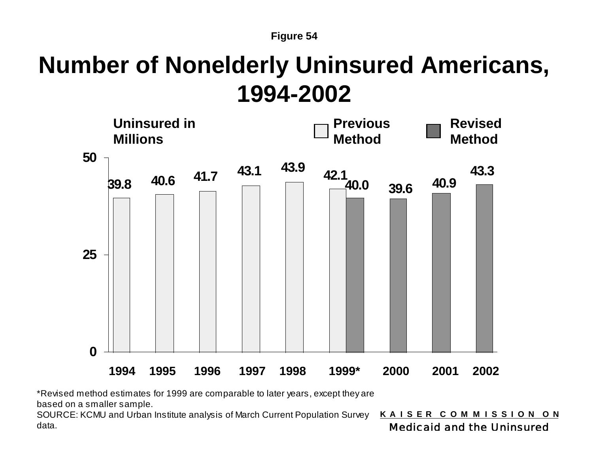## **Number of Nonelderly Uninsured Americans, 1994-2002**



\*Revised method estimates for 1999 are comparable to later years, except they are

based on a smaller sample.

**K A I S E R C O M M I S S I O N O N** Medicaid and the Uninsured SOURCE: KCMU and Urban Institute analysis of March Current Population Survey data.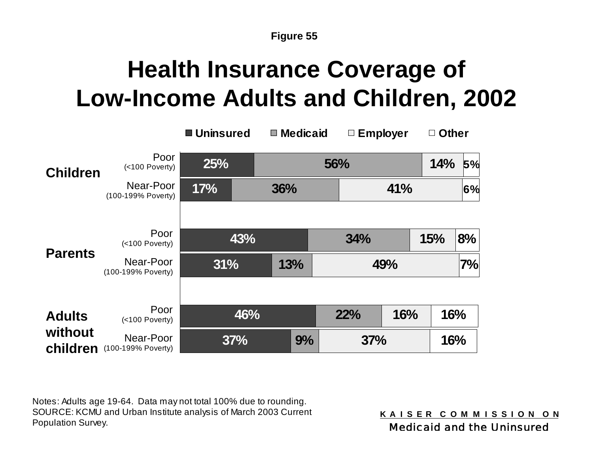# **Health Insurance Coverage of Low-Income Adults and Children, 2002**

|                     |                                 | ■ Uninsured |     | $\blacksquare$ Medicaid |     | $\Box$ Employer |     | <b>Other</b> |  |
|---------------------|---------------------------------|-------------|-----|-------------------------|-----|-----------------|-----|--------------|--|
| <b>Children</b>     | Poor<br>(<100 Poverty)          | 25%         |     | 56%                     |     |                 |     | 14%<br>5%    |  |
|                     | Near-Poor<br>(100-199% Poverty) | 17%         |     | 36%                     |     | 41%             |     | 6%           |  |
|                     |                                 |             |     |                         |     |                 |     |              |  |
| <b>Parents</b>      | Poor<br>(<100 Poverty)          |             | 43% |                         | 34% |                 | 15% | 8%           |  |
|                     | Near-Poor<br>(100-199% Poverty) | 31%         |     | 13%                     |     | 49%             |     | 7%           |  |
|                     |                                 |             |     |                         |     |                 |     |              |  |
| <b>Adults</b>       | Poor<br>(<100 Poverty)          |             | 46% |                         | 22% | 16%             |     | 16%          |  |
| without<br>children | Near-Poor<br>(100-199% Poverty) |             | 37% | 9%                      |     | 37%             |     | 16%          |  |

Notes: Adults age 19-64. Data may not total 100% due to rounding. SOURCE: KCMU and Urban Institute analysis of March 2003 Current Population Survey.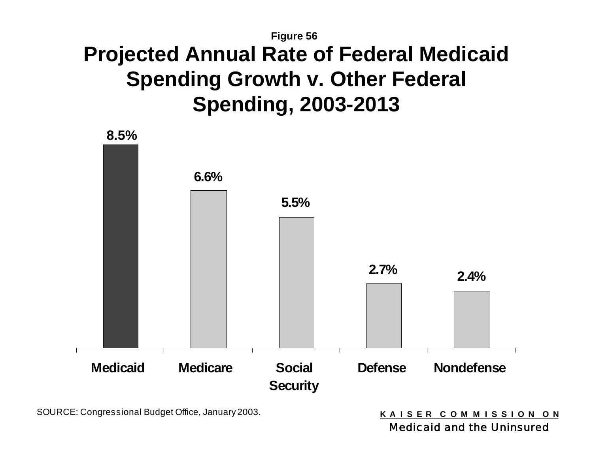### **Figure 56 Projected Annual Rate of Federal Medicaid Spending Growth v. Other Federal Spending, 2003-2013**



SOURCE: Congressional Budget Office, January 2003.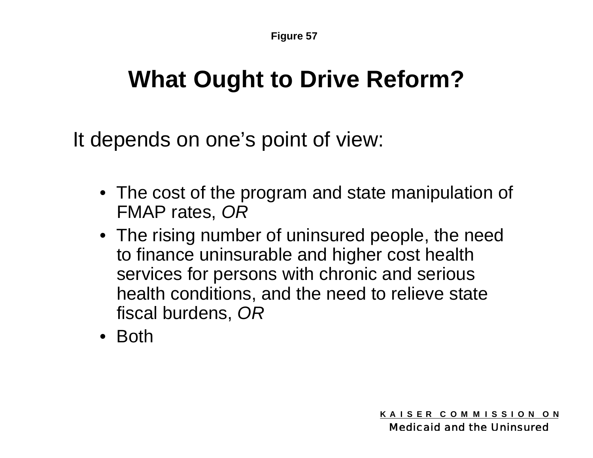# **What Ought to Drive Reform?**

It depends on one's point of view:

- The cost of the program and state manipulation of FMAP rates, *OR*
- The rising number of uninsured people, the need to finance uninsurable and higher cost health services for persons with chronic and serious health conditions, and the need to relieve state fiscal burdens, *OR*
- Both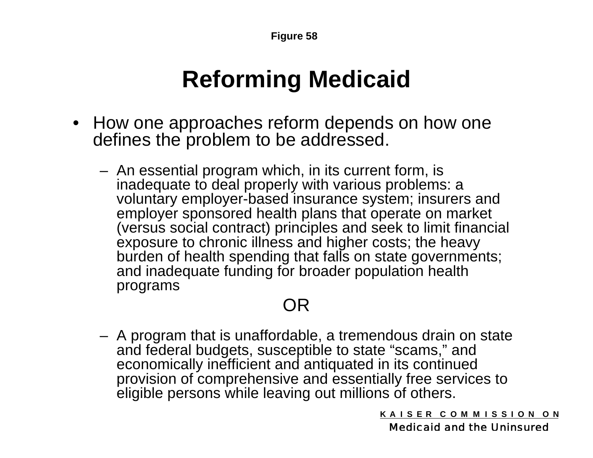## **Reforming Medicaid**

- How one approaches reform depends on how one defines the problem to be addressed.
	- An essential program which, in its current form, is inadequate to deal properly with various problems: a voluntary employer-based insurance system; insurers and employer sponsored health plans that operate on market (versus social contract) principles and seek to limit financial exposure to chronic illness and higher costs; the heavy burden of health spending that falls on state governments; and inadequate funding for broader population health programs

### OR

 A program that is unaffordable, a tremendous drain on state and federal budgets, susceptible to state "scams," and economically inefficient and antiquated in its continued provision of comprehensive and essentially free services to eligible persons while leaving out millions of others.